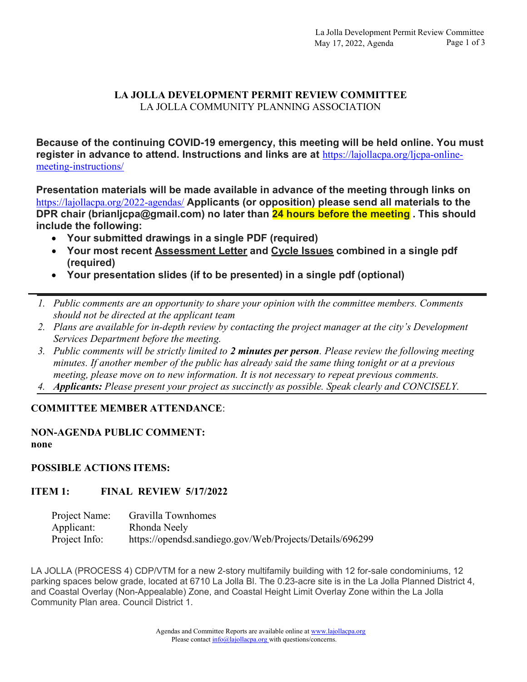## LA JOLLA DEVELOPMENT PERMIT REVIEW COMMITTEE LA JOLLA COMMUNITY PLANNING ASSOCIATION

Because of the continuing COVID-19 emergency, this meeting will be held online. You must register in advance to attend. Instructions and links are at https://lajollacpa.org/ljcpa-onlinemeeting-instructions/

Presentation materials will be made available in advance of the meeting through links on https://lajollacpa.org/2022-agendas/ Applicants (or opposition) please send all materials to the DPR chair (brianljcpa@gmail.com) no later than 24 hours before the meeting. This should include the following:

- Your submitted drawings in a single PDF (required)
- Your most recent Assessment Letter and Cycle Issues combined in a single pdf (required)
- Your presentation slides (if to be presented) in a single pdf (optional)
- 1. Public comments are an opportunity to share your opinion with the committee members. Comments should not be directed at the applicant team
- 2. Plans are available for in-depth review by contacting the project manager at the city's Development Services Department before the meeting.
- 3. Public comments will be strictly limited to 2 minutes per person. Please review the following meeting minutes. If another member of the public has already said the same thing tonight or at a previous meeting, please move on to new information. It is not necessary to repeat previous comments.
- 4. Applicants: Please present your project as succinctly as possible. Speak clearly and CONCISELY.

## COMMITTEE MEMBER ATTENDANCE:

#### NON-AGENDA PUBLIC COMMENT: none

#### POSSIBLE ACTIONS ITEMS:

## ITEM 1: FINAL REVIEW 5/17/2022

| Project Name: | Gravilla Townhomes                                       |
|---------------|----------------------------------------------------------|
| Applicant:    | Rhonda Neely                                             |
| Project Info: | https://opendsd.sandiego.gov/Web/Projects/Details/696299 |

LA JOLLA (PROCESS 4) CDP/VTM for a new 2-story multifamily building with 12 for-sale condominiums, 12 parking spaces below grade, located at 6710 La Jolla Bl. The 0.23-acre site is in the La Jolla Planned District 4, and Coastal Overlay (Non-Appealable) Zone, and Coastal Height Limit Overlay Zone within the La Jolla Community Plan area. Council District 1.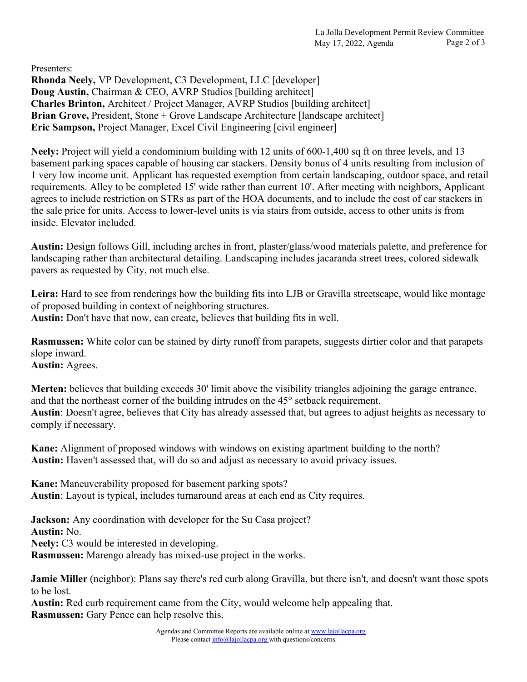Presenters:

Rhonda Neely, VP Development, C3 Development, LLC [developer] Doug Austin, Chairman & CEO, AVRP Studios [building architect] Charles Brinton, Architect / Project Manager, AVRP Studios [building architect] Brian Grove, President, Stone + Grove Landscape Architecture [landscape architect] Eric Sampson, Project Manager, Excel Civil Engineering [civil engineer]

Neely: Project will yield a condominium building with 12 units of 600-1,400 sq ft on three levels, and 13 basement parking spaces capable of housing car stackers. Density bonus of 4 units resulting from inclusion of 1 very low income unit. Applicant has requested exemption from certain landscaping, outdoor space, and retail requirements. Alley to be completed 15' wide rather than current 10'. After meeting with neighbors, Applicant agrees to include restriction on STRs as part of the HOA documents, and to include the cost of car stackers in the sale price for units. Access to lower-level units is via stairs from outside, access to other units is from inside. Elevator included.

Austin: Design follows Gill, including arches in front, plaster/glass/wood materials palette, and preference for landscaping rather than architectural detailing. Landscaping includes jacaranda street trees, colored sidewalk pavers as requested by City, not much else.

Leira: Hard to see from renderings how the building fits into LJB or Gravilla streetscape, would like montage of proposed building in context of neighboring structures. Austin: Don't have that now, can create, believes that building fits in well.

Rasmussen: White color can be stained by dirty runoff from parapets, suggests dirtier color and that parapets slope inward. Austin: Agrees.

Merten: believes that building exceeds 30' limit above the visibility triangles adjoining the garage entrance, and that the northeast corner of the building intrudes on the 45° setback requirement.

Austin: Doesn't agree, believes that City has already assessed that, but agrees to adjust heights as necessary to comply if necessary.

Kane: Alignment of proposed windows with windows on existing apartment building to the north? Austin: Haven't assessed that, will do so and adjust as necessary to avoid privacy issues.

Kane: Maneuverability proposed for basement parking spots? Austin: Layout is typical, includes turnaround areas at each end as City requires.

Jackson: Any coordination with developer for the Su Casa project? Austin: No. Neely: C3 would be interested in developing. Rasmussen: Marengo already has mixed-use project in the works.

**Jamie Miller** (neighbor): Plans say there's red curb along Gravilla, but there isn't, and doesn't want those spots to be lost.

Austin: Red curb requirement came from the City, would welcome help appealing that. Rasmussen: Gary Pence can help resolve this.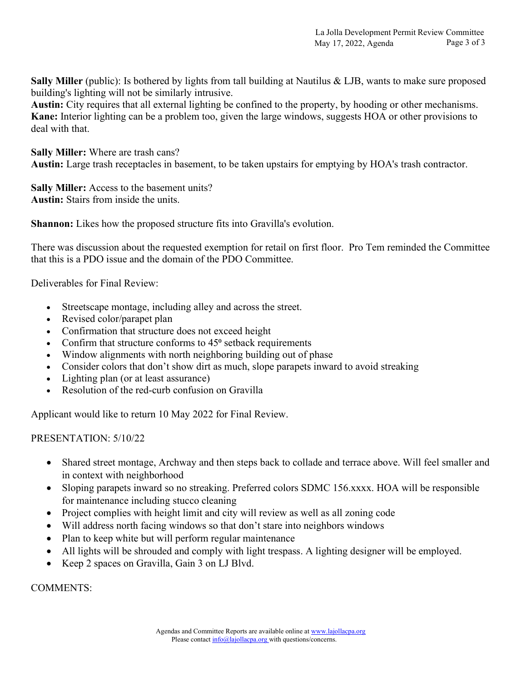Sally Miller (public): Is bothered by lights from tall building at Nautilus & LJB, wants to make sure proposed building's lighting will not be similarly intrusive.

Austin: City requires that all external lighting be confined to the property, by hooding or other mechanisms. Kane: Interior lighting can be a problem too, given the large windows, suggests HOA or other provisions to deal with that.

Sally Miller: Where are trash cans? Austin: Large trash receptacles in basement, to be taken upstairs for emptying by HOA's trash contractor.

Sally Miller: Access to the basement units? Austin: Stairs from inside the units.

Shannon: Likes how the proposed structure fits into Gravilla's evolution.

There was discussion about the requested exemption for retail on first floor. Pro Tem reminded the Committee that this is a PDO issue and the domain of the PDO Committee.

Deliverables for Final Review:

- Streetscape montage, including alley and across the street.
- Revised color/parapet plan
- Confirmation that structure does not exceed height
- Confirm that structure conforms to  $45^\circ$  setback requirements
- Window alignments with north neighboring building out of phase
- Consider colors that don't show dirt as much, slope parapets inward to avoid streaking
- Lighting plan (or at least assurance)
- Resolution of the red-curb confusion on Gravilla

Applicant would like to return 10 May 2022 for Final Review.

PRESENTATION: 5/10/22

- Shared street montage, Archway and then steps back to collade and terrace above. Will feel smaller and in context with neighborhood
- Sloping parapets inward so no streaking. Preferred colors SDMC 156.xxxx. HOA will be responsible for maintenance including stucco cleaning
- Project complies with height limit and city will review as well as all zoning code
- Will address north facing windows so that don't stare into neighbors windows
- Plan to keep white but will perform regular maintenance
- All lights will be shrouded and comply with light trespass. A lighting designer will be employed.
- Keep 2 spaces on Gravilla, Gain 3 on LJ Blvd.

COMMENTS: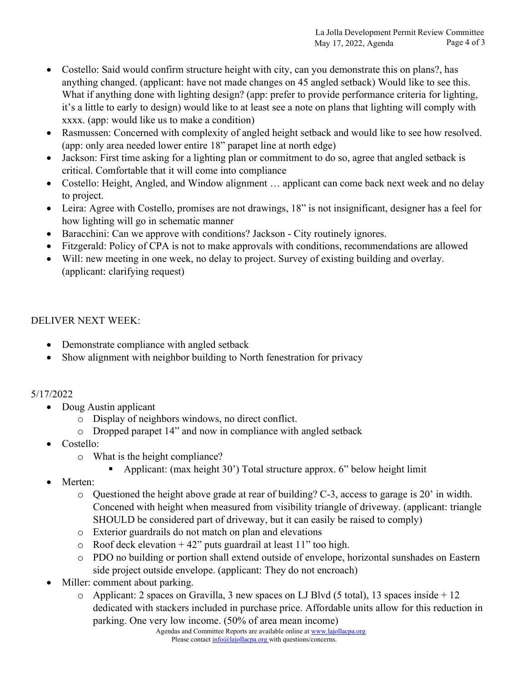- Costello: Said would confirm structure height with city, can you demonstrate this on plans?, has anything changed. (applicant: have not made changes on 45 angled setback) Would like to see this. What if anything done with lighting design? (app: prefer to provide performance criteria for lighting, it's a little to early to design) would like to at least see a note on plans that lighting will comply with xxxx. (app: would like us to make a condition)
- Rasmussen: Concerned with complexity of angled height setback and would like to see how resolved. (app: only area needed lower entire 18" parapet line at north edge)
- Jackson: First time asking for a lighting plan or commitment to do so, agree that angled setback is critical. Comfortable that it will come into compliance
- Costello: Height, Angled, and Window alignment … applicant can come back next week and no delay to project.
- Leira: Agree with Costello, promises are not drawings, 18" is not insignificant, designer has a feel for how lighting will go in schematic manner
- Baracchini: Can we approve with conditions? Jackson City routinely ignores.
- Fitzgerald: Policy of CPA is not to make approvals with conditions, recommendations are allowed
- Will: new meeting in one week, no delay to project. Survey of existing building and overlay. (applicant: clarifying request)

# DELIVER NEXT WEEK:

- Demonstrate compliance with angled setback
- Show alignment with neighbor building to North fenestration for privacy

# 5/17/2022

- Doug Austin applicant
	- o Display of neighbors windows, no direct conflict.
	- o Dropped parapet 14" and now in compliance with angled setback
- Costello:
	- o What is the height compliance?
		- Applicant: (max height 30') Total structure approx. 6" below height limit
- Merten:
	- o Questioned the height above grade at rear of building? C-3, access to garage is 20' in width. Concened with height when measured from visibility triangle of driveway. (applicant: triangle SHOULD be considered part of driveway, but it can easily be raised to comply)
	- o Exterior guardrails do not match on plan and elevations
	- $\circ$  Roof deck elevation + 42" puts guardrail at least 11" too high.
	- o PDO no building or portion shall extend outside of envelope, horizontal sunshades on Eastern side project outside envelope. (applicant: They do not encroach)
- Miller: comment about parking.
	- o Applicant: 2 spaces on Gravilla, 3 new spaces on LJ Blvd (5 total), 13 spaces inside + 12 dedicated with stackers included in purchase price. Affordable units allow for this reduction in parking. One very low income. (50% of area mean income)